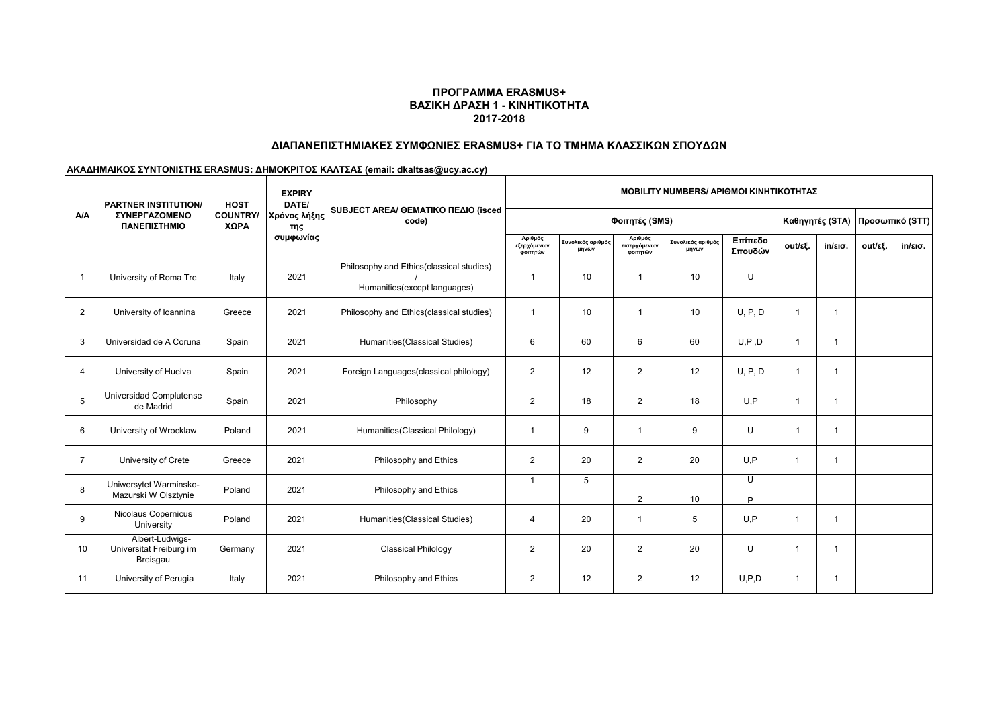## **ΠΡΟΓΡΑΜΜΑ ERASMUS+ ΒΑΣΙΚΗ ΔΡΑΣΗ 1 - ΚΙΝΗΤΙΚΟΤΗΤΑ 2017-2018**

# **ΔΙΑΠΑΝΕΠΙΣΤΗΜΙΑΚΕΣ ΣΥΜΦΩΝΙΕΣ ERASMUS+ ΓΙΑ ΤΟ ΤΜΗΜΑ ΚΛΑΣΣΙΚΩΝ ΣΠΟΥΔΩΝ**

**ΑΚΑΔΗΜΑΙΚΟΣ ΣΥΝΤΟΝΙΣΤΗΣ ERASMUS: ΔΗΜΟΚΡΙΤΟΣ ΚΑΛΤΣΑΣ (email: dkaltsas@ucy.ac.cy)**

| <b>A/A</b>     | <b>EXPIRY</b><br><b>PARTNER INSTITUTION/</b><br>DATE/<br><b>HOST</b> |                         |                                  | <b>MOBILITY NUMBERS/ APIOMOI KINHTIKOTHTAΣ</b>                           |                                    |                            |                                     |                            |                    |                |                   |                                 |                   |
|----------------|----------------------------------------------------------------------|-------------------------|----------------------------------|--------------------------------------------------------------------------|------------------------------------|----------------------------|-------------------------------------|----------------------------|--------------------|----------------|-------------------|---------------------------------|-------------------|
|                | <b><i>ΣΥΝΕΡΓΑΖΟΜΕΝΟ</i></b><br>ΠΑΝΕΠΙΣΤΗΜΙΟ                          | <b>COUNTRY/</b><br>ΧΩΡΑ | Χρόνος λήξης<br>της<br>συμφωνίας | SUBJECT AREA/ GEMATIKO ΠΕΔΙΟ (isced<br>code)                             | Φοιτητές (SMS)                     |                            |                                     |                            |                    |                |                   | Καθηγητές (STA) Προσωπικό (STT) |                   |
|                |                                                                      |                         |                                  |                                                                          | Αριθμός<br>εξερχόμενων<br>φοιτητών | Συνολικός αριθμός<br>μηνών | Αριθμός<br>εισερχόμενων<br>φοιτητών | Συνολικός αριθμός<br>μηνών | Επίπεδο<br>Σπουδών | out/εξ.        | $in/\epsilon$ ισ. | out/εξ.                         | $in/\epsilon$ ισ. |
| -1             | University of Roma Tre                                               | Italy                   | 2021                             | Philosophy and Ethics(classical studies)<br>Humanities(except languages) | -1                                 | 10                         | $\overline{1}$                      | 10                         | U                  |                |                   |                                 |                   |
| $\overline{2}$ | University of Ioannina                                               | Greece                  | 2021                             | Philosophy and Ethics(classical studies)                                 | $\overline{1}$                     | 10                         | $\overline{1}$                      | 10                         | U, P, D            | $\mathbf{1}$   | $\mathbf{1}$      |                                 |                   |
| 3              | Universidad de A Coruna                                              | Spain                   | 2021                             | Humanities (Classical Studies)                                           | 6                                  | 60                         | 6                                   | 60                         | U, P, D            | $\mathbf{1}$   | -1                |                                 |                   |
| $\overline{4}$ | University of Huelva                                                 | Spain                   | 2021                             | Foreign Languages (classical philology)                                  | $\overline{2}$                     | 12                         | $\overline{2}$                      | 12                         | U, P, D            | $\mathbf{1}$   | -1                |                                 |                   |
| 5              | Universidad Complutense<br>de Madrid                                 | Spain                   | 2021                             | Philosophy                                                               | $\overline{2}$                     | 18                         | $\overline{2}$                      | 18                         | U.P                | $\mathbf{1}$   | $\overline{1}$    |                                 |                   |
| 6              | University of Wrocklaw                                               | Poland                  | 2021                             | Humanities (Classical Philology)                                         | $\overline{1}$                     | 9                          | $\overline{1}$                      | 9                          | U                  | $\mathbf{1}$   | -1                |                                 |                   |
| $\overline{7}$ | University of Crete                                                  | Greece                  | 2021                             | Philosophy and Ethics                                                    | 2                                  | 20                         | 2                                   | 20                         | U.P                | 1              | $\overline{1}$    |                                 |                   |
| 8              | Uniwersytet Warminsko-<br>Mazurski W Olsztynie                       | Poland                  | 2021                             | Philosophy and Ethics                                                    | $\overline{1}$                     | 5                          | $\overline{2}$                      | 10                         | Ū<br>Þ             |                |                   |                                 |                   |
| 9              | Nicolaus Copernicus<br>University                                    | Poland                  | 2021                             | Humanities (Classical Studies)                                           | $\overline{4}$                     | 20                         | $\overline{1}$                      | 5                          | U.P                | 1              | -1                |                                 |                   |
| 10             | Albert-Ludwigs-<br>Universitat Freiburg im<br>Breisgau               | Germany                 | 2021                             | <b>Classical Philology</b>                                               | 2                                  | 20                         | 2                                   | 20                         | U                  | 1              | -1                |                                 |                   |
| 11             | University of Perugia                                                | Italy                   | 2021                             | Philosophy and Ethics                                                    | 2                                  | 12                         | $\overline{2}$                      | 12                         | U.P.D              | $\overline{1}$ | -1                |                                 |                   |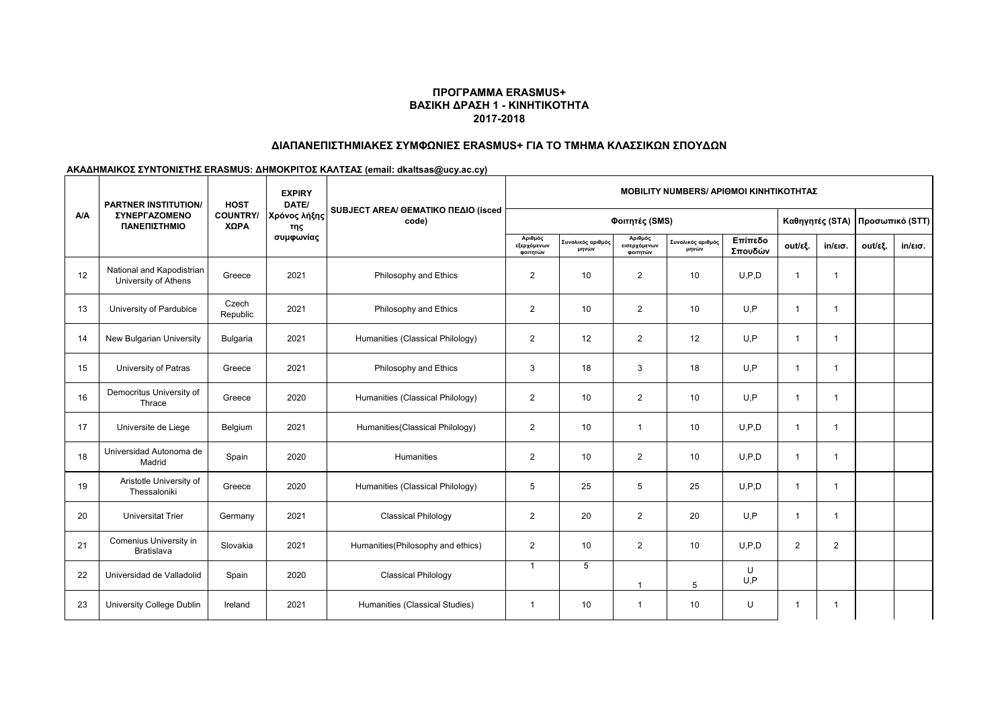## **ΠΡΟΓΡΑΜΜΑ ERASMUS+ ΒΑΣΙΚΗ ΔΡΑΣΗ 1 - ΚΙΝΗΤΙΚΟΤΗΤΑ 2017-2018**

# **ΔΙΑΠΑΝΕΠΙΣΤΗΜΙΑΚΕΣ ΣΥΜΦΩΝΙΕΣ ERASMUS+ ΓΙΑ ΤΟ ΤΜΗΜΑ ΚΛΑΣΣΙΚΩΝ ΣΠΟΥΔΩΝ**

#### **ΑΚΑΔΗΜΑΙΚΟΣ ΣΥΝΤΟΝΙΣΤΗΣ ERASMUS: ΔΗΜΟΚΡΙΤΟΣ ΚΑΛΤΣΑΣ (email: dkaltsas@ucy.ac.cy)**

| <b>A/A</b> | <b>PARTNER INSTITUTION/</b><br>ΣΥΝΕΡΓΑΖΟΜΕΝΟ<br>ΠΑΝΕΠΙΣΤΗΜΙΟ | <b>HOST</b><br><b>COUNTRY/</b><br>ΧΩΡΑ | <b>EXPIRY</b><br>DATE/<br>Χρόνος λήξης<br>της<br>συμφωνίας | SUBJECT AREA/ @EMATIKO ΠΕΔΙΟ (isced<br>code) | <b>MOBILITY NUMBERS/ APIOMOI KINHTIKOTHTAZ</b> |                            |                                     |                            |                    |                 |                         |                 |                   |
|------------|--------------------------------------------------------------|----------------------------------------|------------------------------------------------------------|----------------------------------------------|------------------------------------------------|----------------------------|-------------------------------------|----------------------------|--------------------|-----------------|-------------------------|-----------------|-------------------|
|            |                                                              |                                        |                                                            |                                              | Φοιτητές (SMS)                                 |                            |                                     |                            |                    | Καθηγητές (STA) |                         | Προσωπικό (STT) |                   |
|            |                                                              |                                        |                                                            |                                              | Αριθμός<br>εξερχόμενων<br>φοιτητών             | Συνολικός αριθμός<br>μηνών | Αριθμός<br>εισερχόμενων<br>φοιτητών | Συνολικός αριθμός<br>μηνών | Επίπεδο<br>Σπουδών | out/εξ.         | $in/\epsilon$ ισ.       | out/εξ.         | $in/\epsilon$ ισ. |
| 12         | National and Kapodistrian<br>University of Athens            | Greece                                 | 2021                                                       | Philosophy and Ethics                        | $\overline{2}$                                 | 10                         | $\overline{2}$                      | 10                         | U.P.D              | -1              | -1                      |                 |                   |
| 13         | University of Pardubice                                      | Czech<br>Republic                      | 2021                                                       | Philosophy and Ethics                        | $\overline{2}$                                 | 10                         | $\overline{2}$                      | 10                         | U,P                | $\mathbf{1}$    |                         |                 |                   |
| 14         | New Bulgarian University                                     | <b>Bulgaria</b>                        | 2021                                                       | Humanities (Classical Philology)             | $\overline{2}$                                 | 12                         | $\overline{2}$                      | 12                         | U.P                | $\mathbf{1}$    |                         |                 |                   |
| 15         | University of Patras                                         | Greece                                 | 2021                                                       | Philosophy and Ethics                        | 3                                              | 18                         | 3                                   | 18                         | U.P                | $\mathbf{1}$    |                         |                 |                   |
| 16         | Democritus University of<br>Thrace                           | Greece                                 | 2020                                                       | Humanities (Classical Philology)             | $\overline{2}$                                 | 10                         | $\overline{2}$                      | 10                         | U.P                | $\mathbf{1}$    | $\overline{1}$          |                 |                   |
| 17         | Universite de Liege                                          | Belgium                                | 2021                                                       | Humanities (Classical Philology)             | $\overline{2}$                                 | 10                         | $\mathbf{1}$                        | 10                         | U.P.D              | $\mathbf{1}$    | $\overline{\mathbf{1}}$ |                 |                   |
| 18         | Universidad Autonoma de<br>Madrid                            | Spain                                  | 2020                                                       | Humanities                                   | $\overline{2}$                                 | 10                         | $\overline{2}$                      | 10                         | U.P.D              | $\mathbf{1}$    | $\overline{\mathbf{1}}$ |                 |                   |
| 19         | Aristotle University of<br>Thessaloniki                      | Greece                                 | 2020                                                       | Humanities (Classical Philology)             | 5                                              | 25                         | 5                                   | 25                         | U.P.D              | $\mathbf{1}$    |                         |                 |                   |
| 20         | <b>Universitat Trier</b>                                     | Germany                                | 2021                                                       | <b>Classical Philology</b>                   | $\overline{2}$                                 | 20                         | $\overline{2}$                      | 20                         | U.P                | $\mathbf{1}$    |                         |                 |                   |
| 21         | Comenius University in<br><b>Bratislava</b>                  | Slovakia                               | 2021                                                       | Humanities(Philosophy and ethics)            | $\overline{2}$                                 | 10                         | $\overline{2}$                      | 10                         | U.P.D              | $\overline{2}$  | $\overline{2}$          |                 |                   |
| 22         | Universidad de Valladolid                                    | Spain                                  | 2020                                                       | <b>Classical Philology</b>                   | $\mathbf{1}$                                   | 5                          | 1                                   | 5                          | U<br>U.P           |                 |                         |                 |                   |
| 23         | University College Dublin                                    | Ireland                                | 2021                                                       | Humanities (Classical Studies)               | $\mathbf{1}$                                   | 10                         | $\mathbf{1}$                        | 10                         | U                  | -1              |                         |                 |                   |